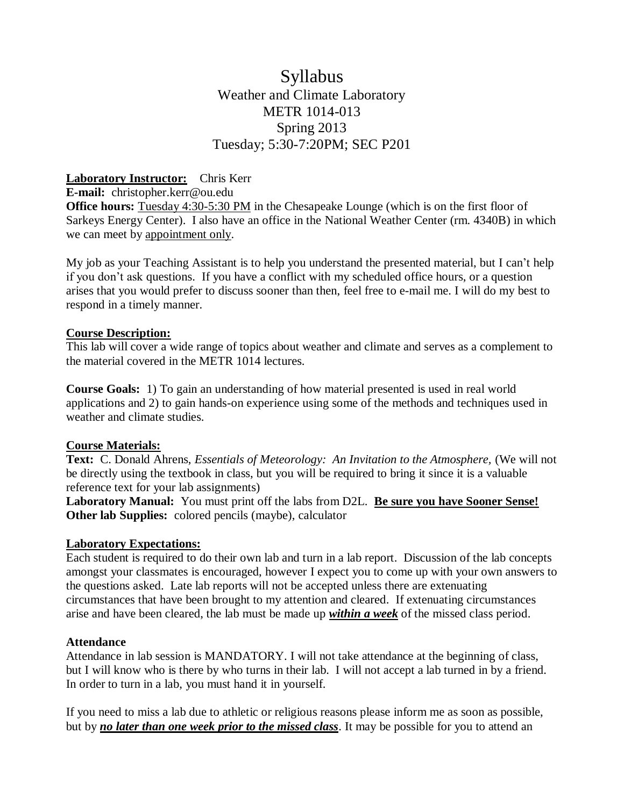## Syllabus Weather and Climate Laboratory METR 1014-013 Spring 2013 Tuesday; 5:30-7:20PM; SEC P201

#### **Laboratory Instructor:** Chris Kerr

**E-mail:** christopher.kerr@ou.edu

**Office hours:** Tuesday 4:30-5:30 PM in the Chesapeake Lounge (which is on the first floor of Sarkeys Energy Center). I also have an office in the National Weather Center (rm. 4340B) in which we can meet by appointment only.

My job as your Teaching Assistant is to help you understand the presented material, but I can't help if you don't ask questions. If you have a conflict with my scheduled office hours, or a question arises that you would prefer to discuss sooner than then, feel free to e-mail me. I will do my best to respond in a timely manner.

#### **Course Description:**

This lab will cover a wide range of topics about weather and climate and serves as a complement to the material covered in the METR 1014 lectures.

**Course Goals:** 1) To gain an understanding of how material presented is used in real world applications and 2) to gain hands-on experience using some of the methods and techniques used in weather and climate studies.

#### **Course Materials:**

**Text:** C. Donald Ahrens, *Essentials of Meteorology: An Invitation to the Atmosphere,* (We will not be directly using the textbook in class, but you will be required to bring it since it is a valuable reference text for your lab assignments)

**Laboratory Manual:** You must print off the labs from D2L. **Be sure you have Sooner Sense! Other lab Supplies:** colored pencils (maybe), calculator

#### **Laboratory Expectations:**

Each student is required to do their own lab and turn in a lab report. Discussion of the lab concepts amongst your classmates is encouraged, however I expect you to come up with your own answers to the questions asked. Late lab reports will not be accepted unless there are extenuating circumstances that have been brought to my attention and cleared. If extenuating circumstances arise and have been cleared, the lab must be made up *within a week* of the missed class period.

#### **Attendance**

Attendance in lab session is MANDATORY. I will not take attendance at the beginning of class, but I will know who is there by who turns in their lab. I will not accept a lab turned in by a friend. In order to turn in a lab, you must hand it in yourself.

If you need to miss a lab due to athletic or religious reasons please inform me as soon as possible, but by *no later than one week prior to the missed class*. It may be possible for you to attend an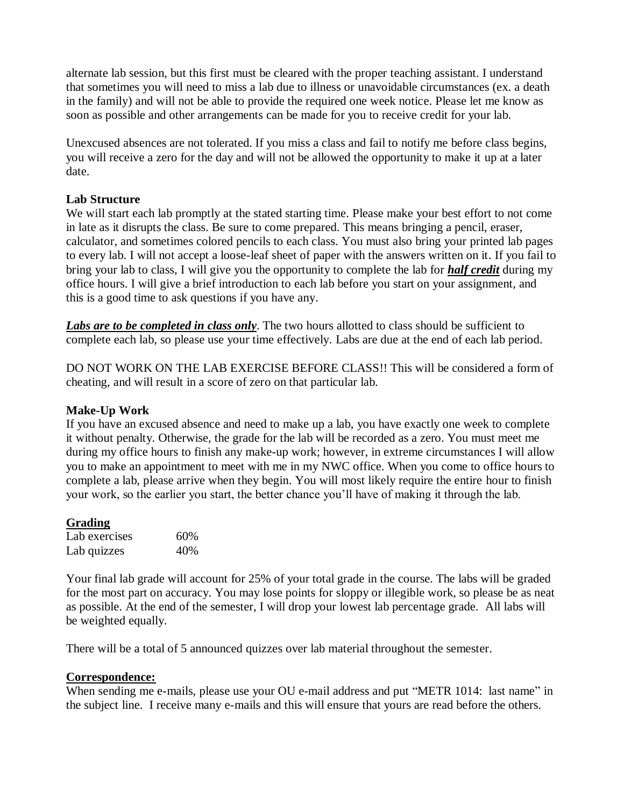alternate lab session, but this first must be cleared with the proper teaching assistant. I understand that sometimes you will need to miss a lab due to illness or unavoidable circumstances (ex. a death in the family) and will not be able to provide the required one week notice. Please let me know as soon as possible and other arrangements can be made for you to receive credit for your lab.

Unexcused absences are not tolerated. If you miss a class and fail to notify me before class begins, you will receive a zero for the day and will not be allowed the opportunity to make it up at a later date.

#### **Lab Structure**

We will start each lab promptly at the stated starting time. Please make your best effort to not come in late as it disrupts the class. Be sure to come prepared. This means bringing a pencil, eraser, calculator, and sometimes colored pencils to each class. You must also bring your printed lab pages to every lab. I will not accept a loose-leaf sheet of paper with the answers written on it. If you fail to bring your lab to class, I will give you the opportunity to complete the lab for *half credit* during my office hours. I will give a brief introduction to each lab before you start on your assignment, and this is a good time to ask questions if you have any.

Labs are to be completed in class only. The two hours allotted to class should be sufficient to complete each lab, so please use your time effectively. Labs are due at the end of each lab period.

DO NOT WORK ON THE LAB EXERCISE BEFORE CLASS!! This will be considered a form of cheating, and will result in a score of zero on that particular lab.

#### **Make-Up Work**

If you have an excused absence and need to make up a lab, you have exactly one week to complete it without penalty. Otherwise, the grade for the lab will be recorded as a zero. You must meet me during my office hours to finish any make-up work; however, in extreme circumstances I will allow you to make an appointment to meet with me in my NWC office. When you come to office hours to complete a lab, please arrive when they begin. You will most likely require the entire hour to finish your work, so the earlier you start, the better chance you'll have of making it through the lab.

#### **Grading**

| Lab exercises | 60% |
|---------------|-----|
| Lab quizzes   | 40% |

Your final lab grade will account for 25% of your total grade in the course. The labs will be graded for the most part on accuracy. You may lose points for sloppy or illegible work, so please be as neat as possible. At the end of the semester, I will drop your lowest lab percentage grade. All labs will be weighted equally.

There will be a total of 5 announced quizzes over lab material throughout the semester.

#### **Correspondence:**

When sending me e-mails, please use your OU e-mail address and put "METR 1014: last name" in the subject line. I receive many e-mails and this will ensure that yours are read before the others.